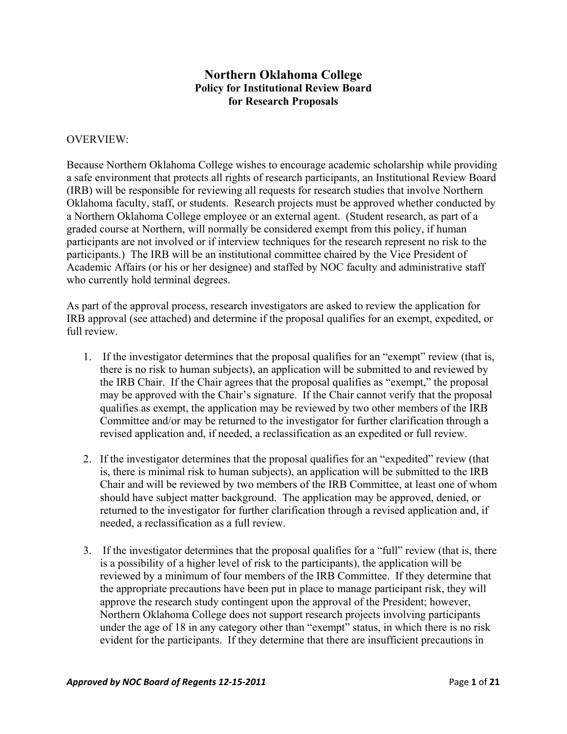## **Northern Oklahoma College Policy for Institutional Review Board for Research Proposals**

#### OVERVIEW:

Because Northern Oklahoma College wishes to encourage academic scholarship while providing a safe environment that protects all rights of research participants, an Institutional Review Board (IRB) will be responsible for reviewing all requests for research studies that involve Northern Oklahoma faculty, staff, or students. Research projects must be approved whether conducted by a Northern Oklahoma College employee or an external agent. (Student research, as part of a graded course at Northern, will normally be considered exempt from this policy, if human participants are not involved or if interview techniques for the research represent no risk to the participants.) The IRB will be an institutional committee chaired by the Vice President of Academic Affairs (or his or her designee) and staffed by NOC faculty and administrative staff who currently hold terminal degrees.

As part of the approval process, research investigators are asked to review the application for IRB approval (see attached) and determine if the proposal qualifies for an exempt, expedited, or full review.

- 1. If the investigator determines that the proposal qualifies for an "exempt" review (that is, there is no risk to human subjects), an application will be submitted to and reviewed by the IRB Chair. If the Chair agrees that the proposal qualifies as "exempt," the proposal may be approved with the Chair's signature. If the Chair cannot verify that the proposal qualifies as exempt, the application may be reviewed by two other members of the IRB Committee and/or may be returned to the investigator for further clarification through a revised application and, if needed, a reclassification as an expedited or full review.
- 2. If the investigator determines that the proposal qualifies for an "expedited" review (that is, there is minimal risk to human subjects), an application will be submitted to the IRB Chair and will be reviewed by two members of the IRB Committee, at least one of whom should have subject matter background. The application may be approved, denied, or returned to the investigator for further clarification through a revised application and, if needed, a reclassification as a full review.
- 3. If the investigator determines that the proposal qualifies for a "full" review (that is, there is a possibility of a higher level of risk to the participants), the application will be reviewed by a minimum of four members of the IRB Committee. If they determine that the appropriate precautions have been put in place to manage participant risk, they will approve the research study contingent upon the approval of the President; however, Northern Oklahoma College does not support research projects involving participants under the age of 18 in any category other than "exempt" status, in which there is no risk evident for the participants. If they determine that there are insufficient precautions in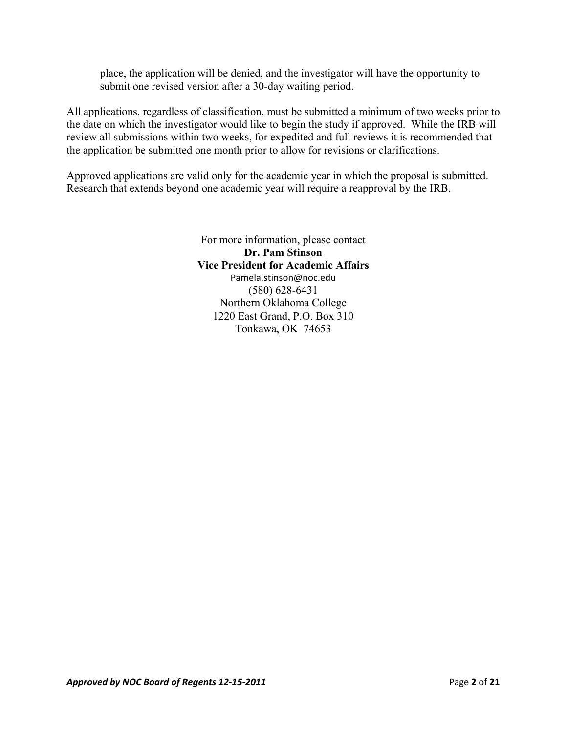place, the application will be denied, and the investigator will have the opportunity to submit one revised version after a 30-day waiting period.

All applications, regardless of classification, must be submitted a minimum of two weeks prior to the date on which the investigator would like to begin the study if approved. While the IRB will review all submissions within two weeks, for expedited and full reviews it is recommended that the application be submitted one month prior to allow for revisions or clarifications.

Approved applications are valid only for the academic year in which the proposal is submitted. Research that extends beyond one academic year will require a reapproval by the IRB.

> For more information, please contact **Dr. Pam Stinson Vice President for Academic Affairs**  Pamela.stinson@noc.edu (580) 628-6431 Northern Oklahoma College 1220 East Grand, P.O. Box 310 Tonkawa, OK 74653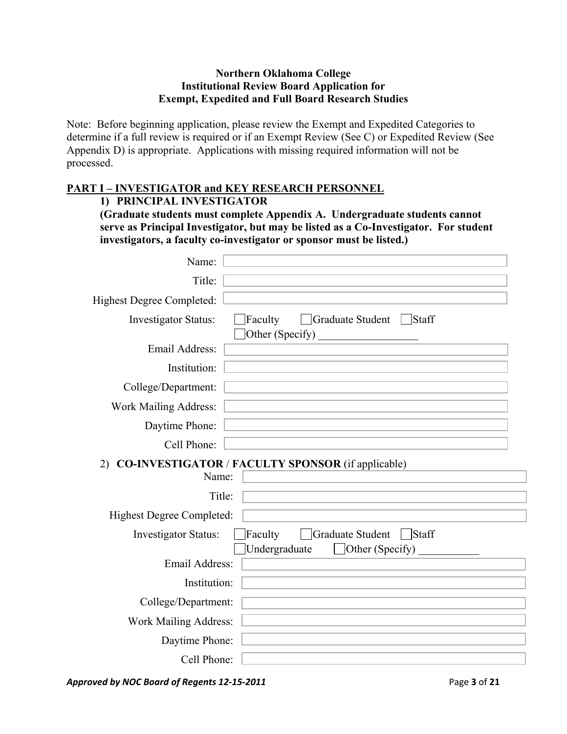#### **Northern Oklahoma College Institutional Review Board Application for Exempt, Expedited and Full Board Research Studies**

Note: Before beginning application, please review the Exempt and Expedited Categories to determine if a full review is required or if an Exempt Review (See C) or Expedited Review (See Appendix D) is appropriate. Applications with missing required information will not be processed.

### **PART I – INVESTIGATOR and KEY RESEARCH PERSONNEL**

#### **1) PRINCIPAL INVESTIGATOR**

**(Graduate students must complete Appendix A. Undergraduate students cannot serve as Principal Investigator, but may be listed as a Co-Investigator. For student investigators, a faculty co-investigator or sponsor must be listed.)** 

| Name:                            |                                                                          |
|----------------------------------|--------------------------------------------------------------------------|
| Title:                           |                                                                          |
| <b>Highest Degree Completed:</b> |                                                                          |
| <b>Investigator Status:</b>      | Faculty<br>Graduate Student<br>$\Box$ Staff<br>Other (Specify)           |
| <b>Email Address:</b>            |                                                                          |
| Institution:                     |                                                                          |
| College/Department:              |                                                                          |
| <b>Work Mailing Address:</b>     |                                                                          |
| Daytime Phone:                   |                                                                          |
| Cell Phone:                      |                                                                          |
| 2)<br>Name:                      | <b>CO-INVESTIGATOR / FACULTY SPONSOR (if applicable)</b>                 |
| Title:                           |                                                                          |
| <b>Highest Degree Completed:</b> |                                                                          |
| <b>Investigator Status:</b>      | Faculty<br>Graduate Student<br>Staff<br>Undergraduate<br>Other (Specify) |
| Email Address:                   |                                                                          |
| Institution:                     |                                                                          |
| College/Department:              |                                                                          |
| <b>Work Mailing Address:</b>     |                                                                          |
| Daytime Phone:                   |                                                                          |
| Cell Phone:                      |                                                                          |

*Approved by NOC Board of Regents 12‐15‐2011*  Page **3** of **21**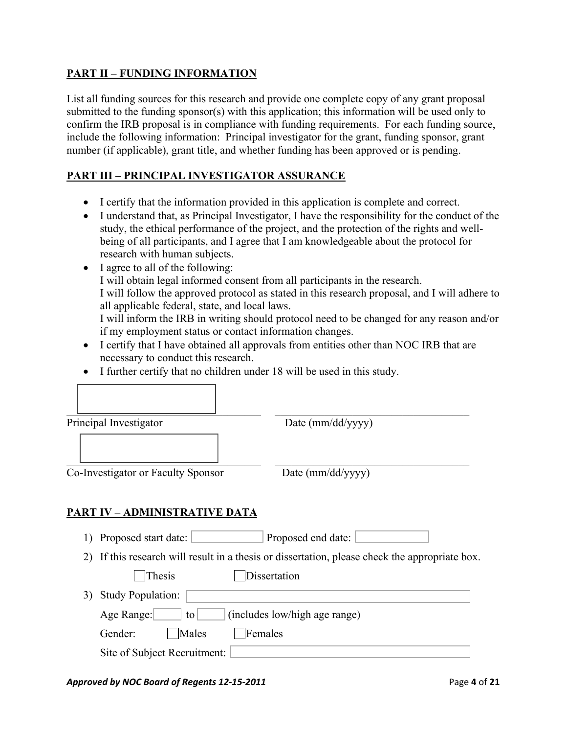## **PART II – FUNDING INFORMATION**

Г

List all funding sources for this research and provide one complete copy of any grant proposal submitted to the funding sponsor(s) with this application; this information will be used only to confirm the IRB proposal is in compliance with funding requirements. For each funding source, include the following information: Principal investigator for the grant, funding sponsor, grant number (if applicable), grant title, and whether funding has been approved or is pending.

## **PART III – PRINCIPAL INVESTIGATOR ASSURANCE**

- I certify that the information provided in this application is complete and correct.
- I understand that, as Principal Investigator, I have the responsibility for the conduct of the study, the ethical performance of the project, and the protection of the rights and wellbeing of all participants, and I agree that I am knowledgeable about the protocol for research with human subjects.
- I agree to all of the following: I will obtain legal informed consent from all participants in the research. I will follow the approved protocol as stated in this research proposal, and I will adhere to all applicable federal, state, and local laws. I will inform the IRB in writing should protocol need to be changed for any reason and/or if my employment status or contact information changes.
- I certify that I have obtained all approvals from entities other than NOC IRB that are necessary to conduct this research.
- I further certify that no children under 18 will be used in this study.

| Date (mm/dd/yyyy) |
|-------------------|
|                   |

1) Proposed start date: Proposed end date:

2) If this research will result in a thesis or dissertation, please check the appropriate box.

Thesis Dissertation 3) Study Population: Age Range:  $\boxed{\qquad}$  to  $\boxed{\qquad}$  (includes low/high age range) Gender: | Males | Females Site of Subject Recruitment:

#### *Approved by NOC Board of Regents 12‐15‐2011*  Page **4** of **21**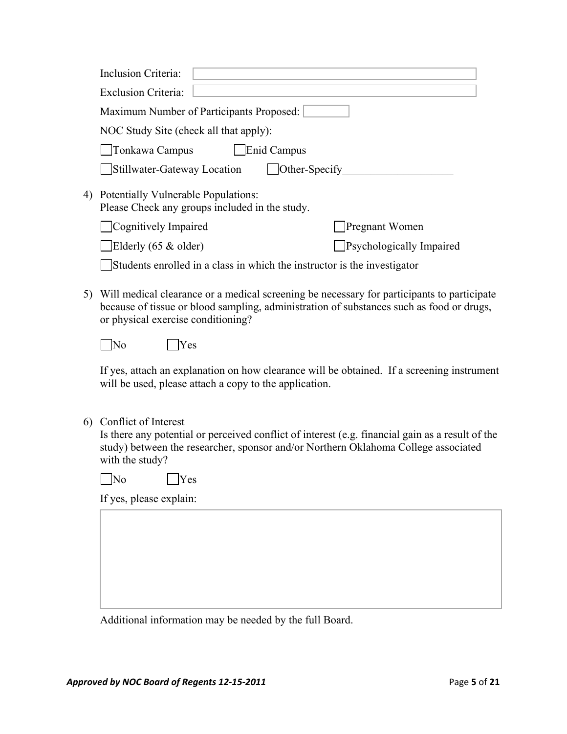|    | <b>Inclusion Criteria:</b>                                                                                                                                                                                                        |
|----|-----------------------------------------------------------------------------------------------------------------------------------------------------------------------------------------------------------------------------------|
|    | <b>Exclusion Criteria:</b>                                                                                                                                                                                                        |
|    | Maximum Number of Participants Proposed:                                                                                                                                                                                          |
|    | NOC Study Site (check all that apply):                                                                                                                                                                                            |
|    | Enid Campus<br>Tonkawa Campus                                                                                                                                                                                                     |
|    | Other-Specify<br>Stillwater-Gateway Location                                                                                                                                                                                      |
| 4) | Potentially Vulnerable Populations:<br>Please Check any groups included in the study.                                                                                                                                             |
|    | Cognitively Impaired<br>Pregnant Women                                                                                                                                                                                            |
|    | Elderly (65 & older)<br>Psychologically Impaired                                                                                                                                                                                  |
|    | Students enrolled in a class in which the instructor is the investigator                                                                                                                                                          |
| 5) | Will medical clearance or a medical screening be necessary for participants to participate<br>because of tissue or blood sampling, administration of substances such as food or drugs,<br>or physical exercise conditioning?      |
|    | $\overline{\rm No}$<br>Yes                                                                                                                                                                                                        |
|    | If yes, attach an explanation on how clearance will be obtained. If a screening instrument<br>will be used, please attach a copy to the application.                                                                              |
| 6) | Conflict of Interest<br>Is there any potential or perceived conflict of interest (e.g. financial gain as a result of the<br>study) between the researcher, sponsor and/or Northern Oklahoma College associated<br>with the study? |
|    | $No$ $Yes$                                                                                                                                                                                                                        |
|    | If yes, please explain:                                                                                                                                                                                                           |
|    |                                                                                                                                                                                                                                   |
|    |                                                                                                                                                                                                                                   |
|    |                                                                                                                                                                                                                                   |

Additional information may be needed by the full Board.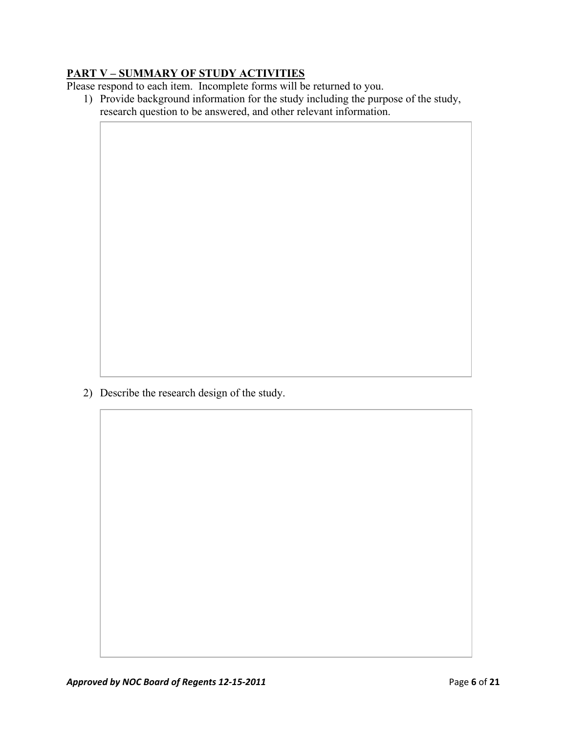# **PART V – SUMMARY OF STUDY ACTIVITIES**

Please respond to each item. Incomplete forms will be returned to you.

1) Provide background information for the study including the purpose of the study, research question to be answered, and other relevant information.

2) Describe the research design of the study.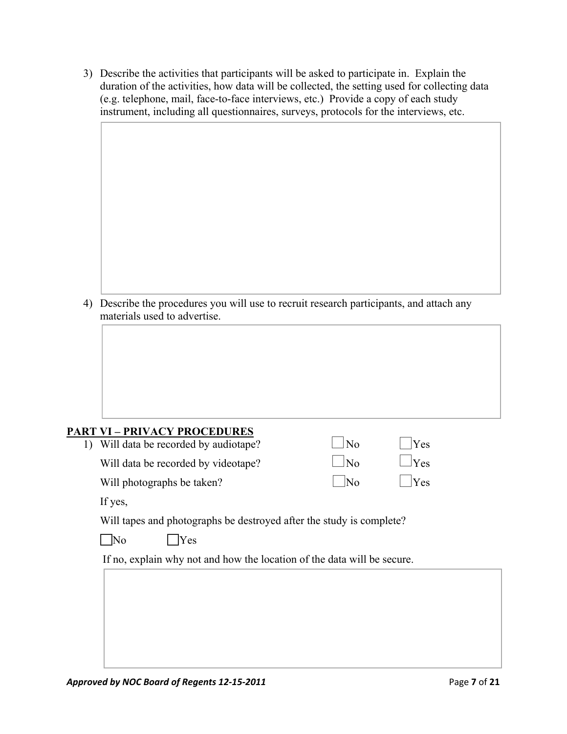| 3) Describe the activities that participants will be asked to participate in. Explain the    |
|----------------------------------------------------------------------------------------------|
| duration of the activities, how data will be collected, the setting used for collecting data |
| (e.g. telephone, mail, face-to-face interviews, etc.) Provide a copy of each study           |
| instrument, including all questionnaires, surveys, protocols for the interviews, etc.        |

4) Describe the procedures you will use to recruit research participants, and attach any materials used to advertise.

# **PART VI – PRIVACY PROCEDURES**

| 1) Will data be recorded by audiotape? | No                          | Yes         |
|----------------------------------------|-----------------------------|-------------|
| Will data be recorded by videotape?    | $\overline{\mathsf{N}}$     | $ $ $ $ Yes |
| Will photographs be taken?             | $\overline{\phantom{a}}$ No | Yes         |

If yes,

Will tapes and photographs be destroyed after the study is complete?

No Yes

If no, explain why not and how the location of the data will be secure.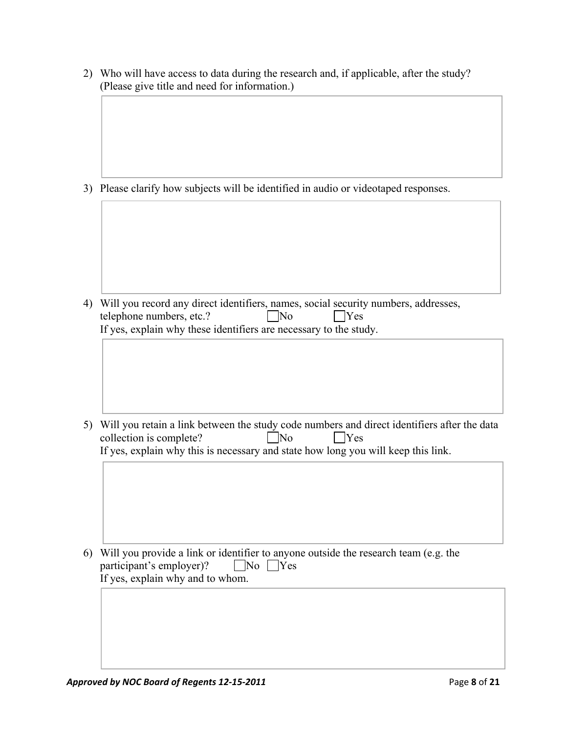| 2) Who will have access to data during the research and, if applicable, after the study? |
|------------------------------------------------------------------------------------------|
| (Please give title and need for information.)                                            |

3) Please clarify how subjects will be identified in audio or videotaped responses.

4) Will you record any direct identifiers, names, social security numbers, addresses, telephone numbers, etc.?  $\Box$  No  $\Box$  Yes If yes, explain why these identifiers are necessary to the study.

5) Will you retain a link between the study code numbers and direct identifiers after the data collection is complete?  $\Box$  No  $\Box$  Yes If yes, explain why this is necessary and state how long you will keep this link.

6) Will you provide a link or identifier to anyone outside the research team (e.g. the participant's employer)?  $\Box$  No  $\Box$  Yes If yes, explain why and to whom.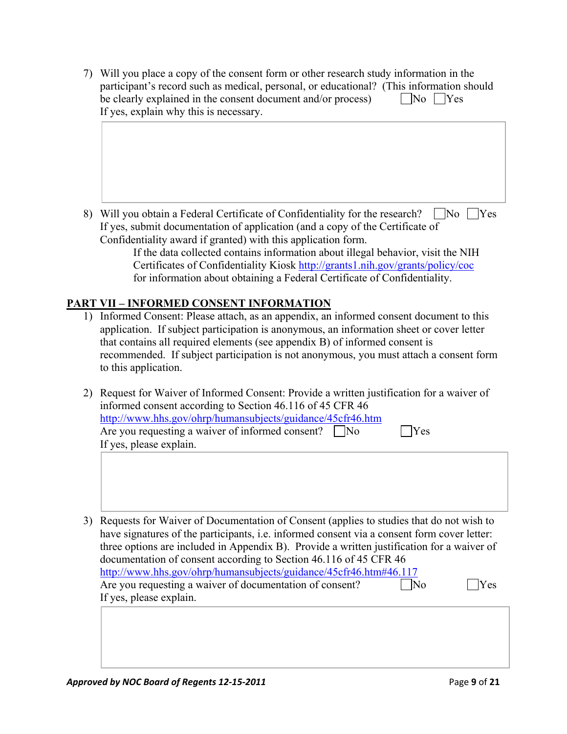7) Will you place a copy of the consent form or other research study information in the participant's record such as medical, personal, or educational? (This information should be clearly explained in the consent document and/or process)  $\Box$  No  $\Box$  Yes If yes, explain why this is necessary.

8) Will you obtain a Federal Certificate of Confidentiality for the research?  $\Box$ No  $\Box$ Yes If yes, submit documentation of application (and a copy of the Certificate of Confidentiality award if granted) with this application form.

If the data collected contains information about illegal behavior, visit the NIH Certificates of Confidentiality Kiosk http://grants1.nih.gov/grants/policy/coc for information about obtaining a Federal Certificate of Confidentiality.

## **PART VII – INFORMED CONSENT INFORMATION**

- 1) Informed Consent: Please attach, as an appendix, an informed consent document to this application. If subject participation is anonymous, an information sheet or cover letter that contains all required elements (see appendix B) of informed consent is recommended. If subject participation is not anonymous, you must attach a consent form to this application.
- 2) Request for Waiver of Informed Consent: Provide a written justification for a waiver of informed consent according to Section 46.116 of 45 CFR 46 http://www.hhs.gov/ohrp/humansubjects/guidance/45cfr46.htm Are you requesting a waiver of informed consent?  $\Box$  No  $\Box$  Yes If yes, please explain.
- 3) Requests for Waiver of Documentation of Consent (applies to studies that do not wish to have signatures of the participants, i.e. informed consent via a consent form cover letter: three options are included in Appendix B). Provide a written justification for a waiver of documentation of consent according to Section 46.116 of 45 CFR 46 http://www.hhs.gov/ohrp/humansubjects/guidance/45cfr46.htm#46.117 Are you requesting a waiver of documentation of consent?  $\Box$  No  $\Box$  Yes If yes, please explain.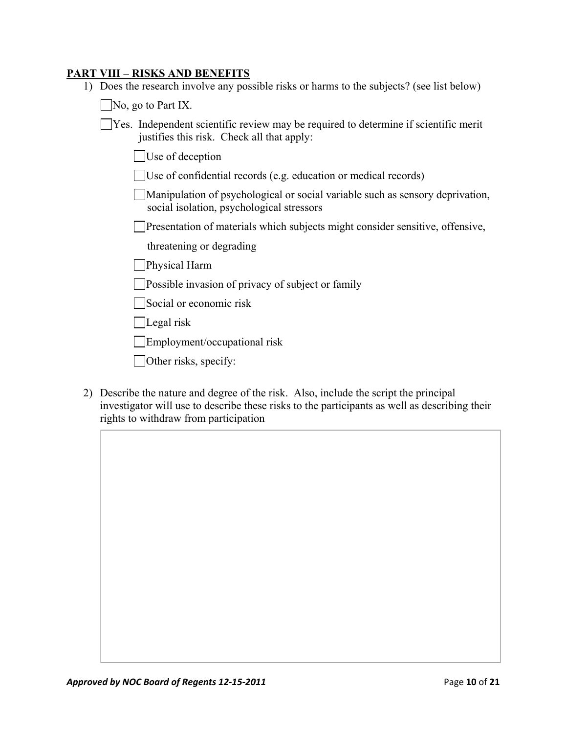#### **PART VIII – RISKS AND BENEFITS**

1) Does the research involve any possible risks or harms to the subjects? (see list below)

 $\Box$ No, go to Part IX.

- $\Box$  Yes. Independent scientific review may be required to determine if scientific merit justifies this risk. Check all that apply:
	- Use of deception
	- Use of confidential records (e.g. education or medical records)
	- Manipulation of psychological or social variable such as sensory deprivation, social isolation, psychological stressors
	- **Presentation of materials which subjects might consider sensitive, offensive,** 
		- threatening or degrading
	- **Physical Harm**
	- **Possible invasion of privacy of subject or family**
	- Social or economic risk
	- Legal risk
	- Employment/occupational risk
	- Other risks, specify:
- 2) Describe the nature and degree of the risk. Also, include the script the principal investigator will use to describe these risks to the participants as well as describing their rights to withdraw from participation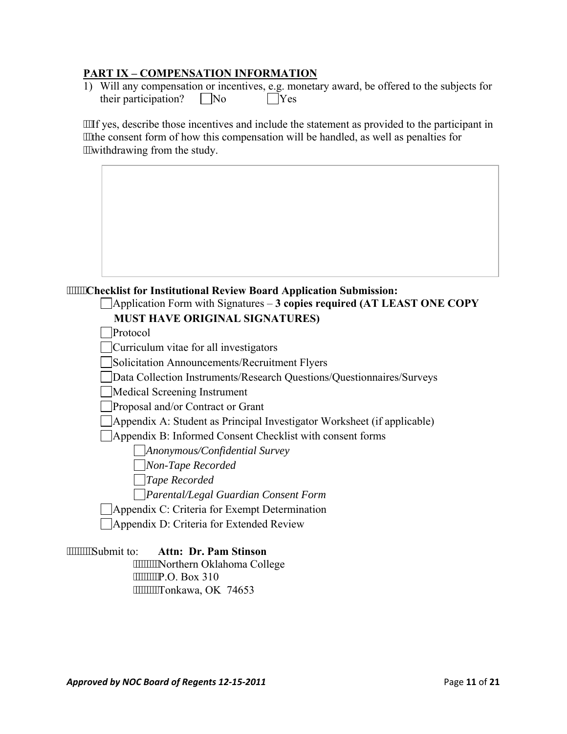#### **PART IX – COMPENSATION INFORMATION**

| 1) Will any compensation or incentives, e.g. monetary award, be offered to the subjects for |         |  |
|---------------------------------------------------------------------------------------------|---------|--|
| their participation? $\vert$ No                                                             | $ $ Yes |  |

If yes, describe those incentives and include the statement as provided to the participant in ""the consent form of how this compensation will be handled, as well as penalties for withdrawing from the study.

#### **Checklist for Institutional Review Board Application Submission:**

# Application Form with Signatures – **3 copies required (AT LEAST ONE COPY**

 **MUST HAVE ORIGINAL SIGNATURES)** 

**Protocol** 

Curriculum vitae for all investigators

Solicitation Announcements/Recruitment Flyers

Data Collection Instruments/Research Questions/Questionnaires/Surveys

Medical Screening Instrument

Proposal and/or Contract or Grant

Appendix A: Student as Principal Investigator Worksheet (if applicable)

Appendix B: Informed Consent Checklist with consent forms

*Anonymous/Confidential Survey* 

 *Non-Tape Recorded* 

 *Tape Recorded* 

 *Parental/Legal Guardian Consent Form*

Appendix C: Criteria for Exempt Determination

Appendix D: Criteria for Extended Review

Submit to: **Attn: Dr. Pam Stinson**  """""""Northern Oklahoma College P.O. Box 310 """""""Tonkawa, OK 74653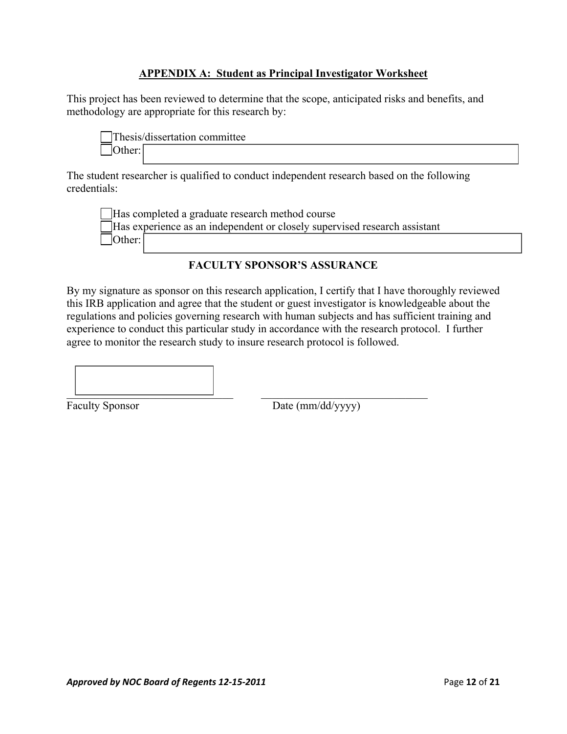### **APPENDIX A: Student as Principal Investigator Worksheet**

This project has been reviewed to determine that the scope, anticipated risks and benefits, and methodology are appropriate for this research by:

|                | Thesis/dissertation committee |  |
|----------------|-------------------------------|--|
| $ $ Other: $ $ |                               |  |

The student researcher is qualified to conduct independent research based on the following credentials:

Has completed a graduate research method course Has experience as an independent or closely supervised research assistant Other:

## **FACULTY SPONSOR'S ASSURANCE**

By my signature as sponsor on this research application, I certify that I have thoroughly reviewed this IRB application and agree that the student or guest investigator is knowledgeable about the regulations and policies governing research with human subjects and has sufficient training and experience to conduct this particular study in accordance with the research protocol. I further agree to monitor the research study to insure research protocol is followed.

 $\overline{\phantom{a}}$  , and the contract of the contract of the contract of the contract of the contract of the contract of the contract of the contract of the contract of the contract of the contract of the contract of the contrac

Faculty Sponsor Date (mm/dd/yyyy)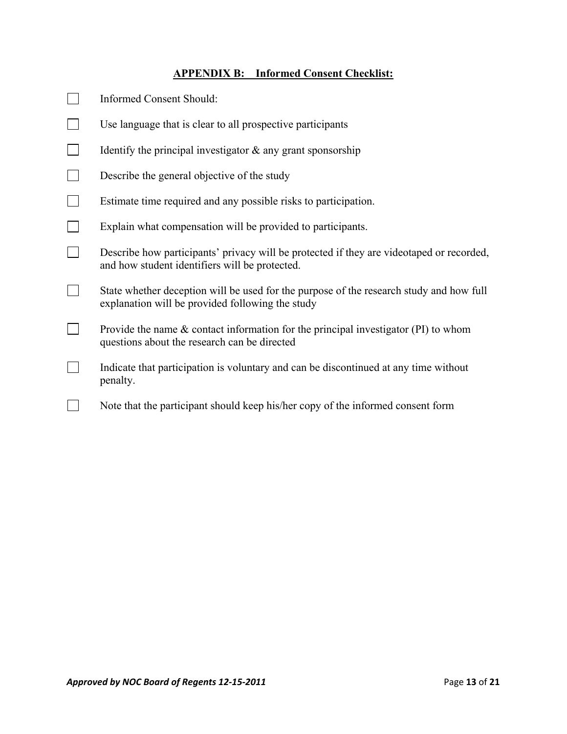# **APPENDIX B: Informed Consent Checklist:**

| <b>Informed Consent Should:</b>                                                                                                             |
|---------------------------------------------------------------------------------------------------------------------------------------------|
| Use language that is clear to all prospective participants                                                                                  |
| Identify the principal investigator $\&$ any grant sponsorship                                                                              |
| Describe the general objective of the study                                                                                                 |
| Estimate time required and any possible risks to participation.                                                                             |
| Explain what compensation will be provided to participants.                                                                                 |
| Describe how participants' privacy will be protected if they are videotaped or recorded,<br>and how student identifiers will be protected.  |
| State whether deception will be used for the purpose of the research study and how full<br>explanation will be provided following the study |
| Provide the name $\&$ contact information for the principal investigator (PI) to whom<br>questions about the research can be directed       |
| Indicate that participation is voluntary and can be discontinued at any time without<br>penalty.                                            |
| Note that the participant should keep his/her copy of the informed consent form                                                             |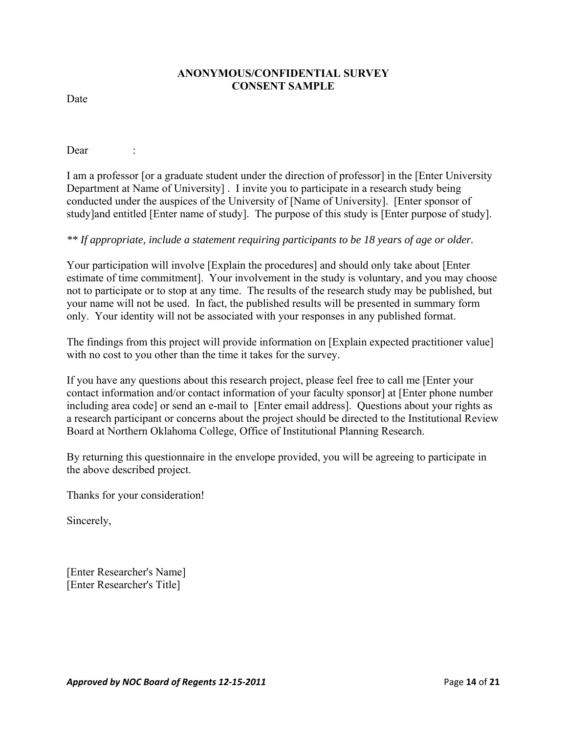#### **ANONYMOUS/CONFIDENTIAL SURVEY CONSENT SAMPLE**

Date

Dear :

I am a professor [or a graduate student under the direction of professor] in the [Enter University Department at Name of University] . I invite you to participate in a research study being conducted under the auspices of the University of [Name of University]. [Enter sponsor of study]and entitled [Enter name of study]. The purpose of this study is [Enter purpose of study].

#### *\*\* If appropriate, include a statement requiring participants to be 18 years of age or older.*

Your participation will involve [Explain the procedures] and should only take about [Enter estimate of time commitment]. Your involvement in the study is voluntary, and you may choose not to participate or to stop at any time. The results of the research study may be published, but your name will not be used. In fact, the published results will be presented in summary form only. Your identity will not be associated with your responses in any published format.

The findings from this project will provide information on [Explain expected practitioner value] with no cost to you other than the time it takes for the survey.

If you have any questions about this research project, please feel free to call me [Enter your contact information and/or contact information of your faculty sponsor] at [Enter phone number including area code] or send an e-mail to [Enter email address]. Questions about your rights as a research participant or concerns about the project should be directed to the Institutional Review Board at Northern Oklahoma College, Office of Institutional Planning Research.

By returning this questionnaire in the envelope provided, you will be agreeing to participate in the above described project.

Thanks for your consideration!

Sincerely,

[Enter Researcher's Name] [Enter Researcher's Title]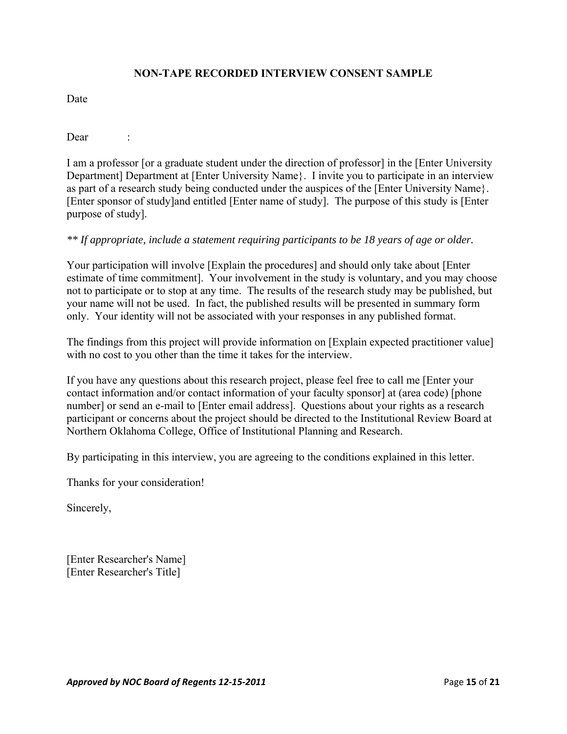### **NON-TAPE RECORDED INTERVIEW CONSENT SAMPLE**

Date

Dear :

I am a professor [or a graduate student under the direction of professor] in the [Enter University Department] Department at [Enter University Name}. I invite you to participate in an interview as part of a research study being conducted under the auspices of the [Enter University Name}. [Enter sponsor of study]and entitled [Enter name of study]. The purpose of this study is [Enter purpose of study].

#### *\*\* If appropriate, include a statement requiring participants to be 18 years of age or older.*

Your participation will involve [Explain the procedures] and should only take about [Enter estimate of time commitment]. Your involvement in the study is voluntary, and you may choose not to participate or to stop at any time. The results of the research study may be published, but your name will not be used. In fact, the published results will be presented in summary form only. Your identity will not be associated with your responses in any published format.

The findings from this project will provide information on [Explain expected practitioner value] with no cost to you other than the time it takes for the interview.

If you have any questions about this research project, please feel free to call me [Enter your contact information and/or contact information of your faculty sponsor] at (area code) [phone number] or send an e-mail to [Enter email address]. Questions about your rights as a research participant or concerns about the project should be directed to the Institutional Review Board at Northern Oklahoma College, Office of Institutional Planning and Research.

By participating in this interview, you are agreeing to the conditions explained in this letter.

Thanks for your consideration!

Sincerely,

[Enter Researcher's Name] [Enter Researcher's Title]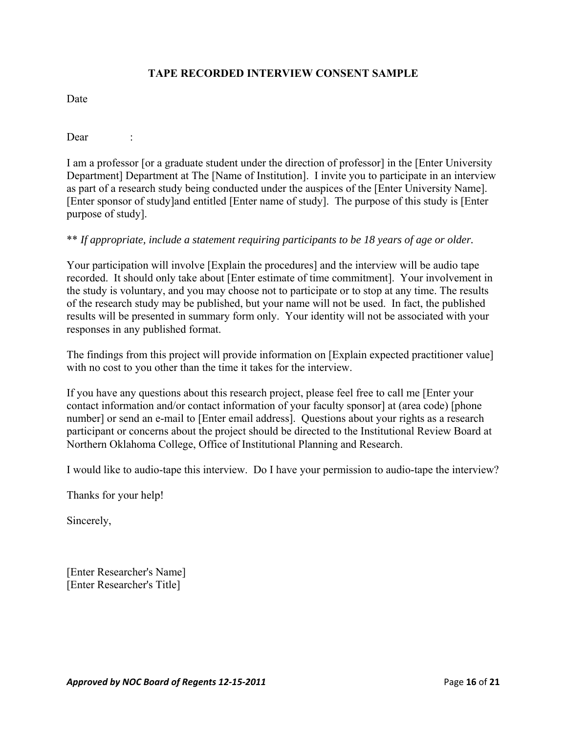### **TAPE RECORDED INTERVIEW CONSENT SAMPLE**

Date

Dear :

I am a professor [or a graduate student under the direction of professor] in the [Enter University Department] Department at The [Name of Institution]. I invite you to participate in an interview as part of a research study being conducted under the auspices of the [Enter University Name]. [Enter sponsor of study]and entitled [Enter name of study]. The purpose of this study is [Enter purpose of study].

#### \*\* *If appropriate, include a statement requiring participants to be 18 years of age or older.*

Your participation will involve [Explain the procedures] and the interview will be audio tape recorded. It should only take about [Enter estimate of time commitment]. Your involvement in the study is voluntary, and you may choose not to participate or to stop at any time. The results of the research study may be published, but your name will not be used. In fact, the published results will be presented in summary form only. Your identity will not be associated with your responses in any published format.

The findings from this project will provide information on [Explain expected practitioner value] with no cost to you other than the time it takes for the interview.

If you have any questions about this research project, please feel free to call me [Enter your contact information and/or contact information of your faculty sponsor] at (area code) [phone number] or send an e-mail to [Enter email address]. Questions about your rights as a research participant or concerns about the project should be directed to the Institutional Review Board at Northern Oklahoma College, Office of Institutional Planning and Research.

I would like to audio-tape this interview. Do I have your permission to audio-tape the interview?

Thanks for your help!

Sincerely,

[Enter Researcher's Name] [Enter Researcher's Title]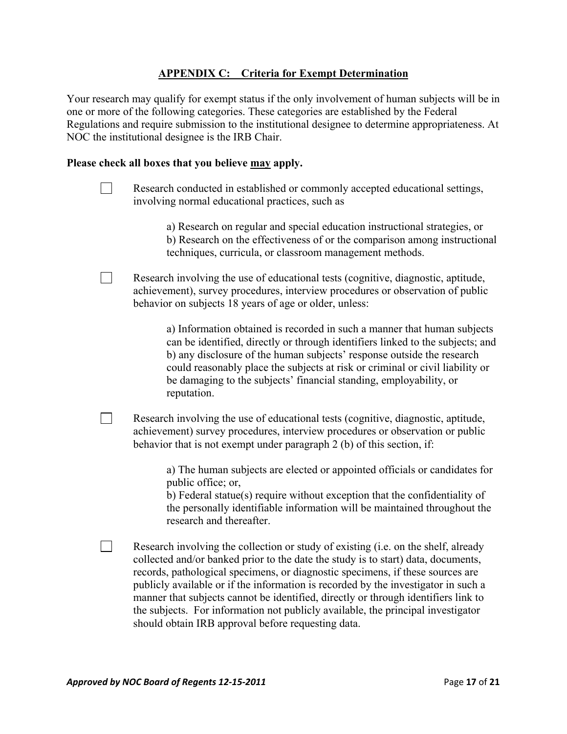### **APPENDIX C: Criteria for Exempt Determination**

Your research may qualify for exempt status if the only involvement of human subjects will be in one or more of the following categories. These categories are established by the Federal Regulations and require submission to the institutional designee to determine appropriateness. At NOC the institutional designee is the IRB Chair.

#### **Please check all boxes that you believe may apply.**

- Research conducted in established or commonly accepted educational settings, involving normal educational practices, such as
	- a) Research on regular and special education instructional strategies, or b) Research on the effectiveness of or the comparison among instructional techniques, curricula, or classroom management methods.
- Research involving the use of educational tests (cognitive, diagnostic, aptitude, achievement), survey procedures, interview procedures or observation of public behavior on subjects 18 years of age or older, unless:

a) Information obtained is recorded in such a manner that human subjects can be identified, directly or through identifiers linked to the subjects; and b) any disclosure of the human subjects' response outside the research could reasonably place the subjects at risk or criminal or civil liability or be damaging to the subjects' financial standing, employability, or reputation.

Research involving the use of educational tests (cognitive, diagnostic, aptitude, achievement) survey procedures, interview procedures or observation or public behavior that is not exempt under paragraph 2 (b) of this section, if:

> a) The human subjects are elected or appointed officials or candidates for public office; or,

> b) Federal statue(s) require without exception that the confidentiality of the personally identifiable information will be maintained throughout the research and thereafter.

Research involving the collection or study of existing (i.e. on the shelf, already collected and/or banked prior to the date the study is to start) data, documents, records, pathological specimens, or diagnostic specimens, if these sources are publicly available or if the information is recorded by the investigator in such a manner that subjects cannot be identified, directly or through identifiers link to the subjects. For information not publicly available, the principal investigator should obtain IRB approval before requesting data.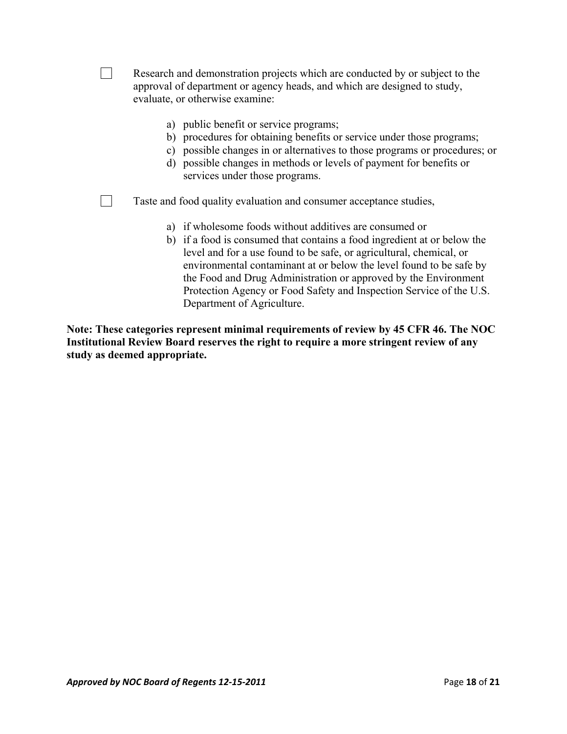| Research and demonstration projects which are conducted by or subject to the<br>approval of department or agency heads, and which are designed to study,<br>evaluate, or otherwise examine:                                                                                                                                                                                                                                                               |
|-----------------------------------------------------------------------------------------------------------------------------------------------------------------------------------------------------------------------------------------------------------------------------------------------------------------------------------------------------------------------------------------------------------------------------------------------------------|
| a) public benefit or service programs;<br>b) procedures for obtaining benefits or service under those programs;<br>c) possible changes in or alternatives to those programs or procedures; or<br>d) possible changes in methods or levels of payment for benefits or<br>services under those programs.                                                                                                                                                    |
| Taste and food quality evaluation and consumer acceptance studies,                                                                                                                                                                                                                                                                                                                                                                                        |
| a) if wholesome foods without additives are consumed or<br>b) if a food is consumed that contains a food ingredient at or below the<br>level and for a use found to be safe, or agricultural, chemical, or<br>environmental contaminant at or below the level found to be safe by<br>the Food and Drug Administration or approved by the Environment<br>Protection Agency or Food Safety and Inspection Service of the U.S.<br>Department of Agriculture. |
| Note: These categories represent minimal requirements of review by 45 CFR 46. The NOC<br>Institutional Review Board reserves the right to require a more stringent review of any                                                                                                                                                                                                                                                                          |

**Institutional Review Board reserves the right to require a more stringent review of any study as deemed appropriate.**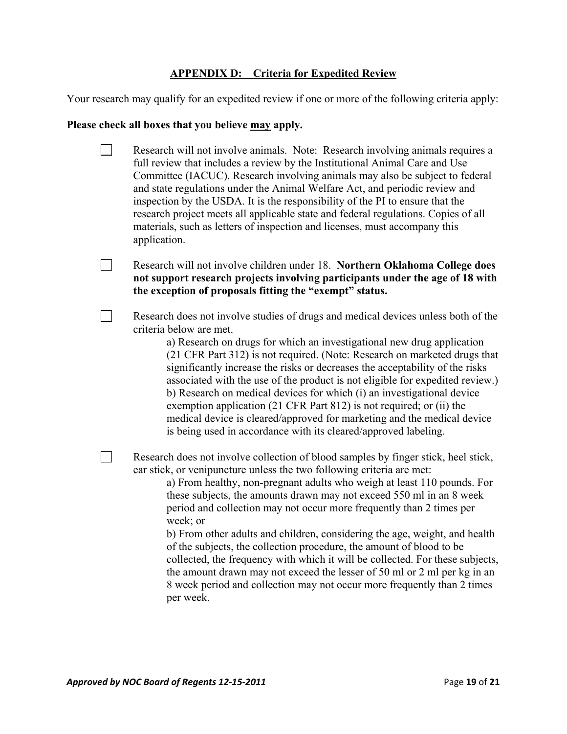## **APPENDIX D: Criteria for Expedited Review**

Your research may qualify for an expedited review if one or more of the following criteria apply:

# **Please check all boxes that you believe may apply.**

| Research will not involve animals. Note: Research involving animals requires a<br>full review that includes a review by the Institutional Animal Care and Use<br>Committee (IACUC). Research involving animals may also be subject to federal<br>and state regulations under the Animal Welfare Act, and periodic review and<br>inspection by the USDA. It is the responsibility of the PI to ensure that the<br>research project meets all applicable state and federal regulations. Copies of all<br>materials, such as letters of inspection and licenses, must accompany this<br>application.                                                                                                                                                                                                             |
|---------------------------------------------------------------------------------------------------------------------------------------------------------------------------------------------------------------------------------------------------------------------------------------------------------------------------------------------------------------------------------------------------------------------------------------------------------------------------------------------------------------------------------------------------------------------------------------------------------------------------------------------------------------------------------------------------------------------------------------------------------------------------------------------------------------|
| Research will not involve children under 18. Northern Oklahoma College does<br>not support research projects involving participants under the age of 18 with<br>the exception of proposals fitting the "exempt" status.                                                                                                                                                                                                                                                                                                                                                                                                                                                                                                                                                                                       |
| Research does not involve studies of drugs and medical devices unless both of the<br>criteria below are met.<br>a) Research on drugs for which an investigational new drug application<br>(21 CFR Part 312) is not required. (Note: Research on marketed drugs that<br>significantly increase the risks or decreases the acceptability of the risks<br>associated with the use of the product is not eligible for expedited review.)<br>b) Research on medical devices for which (i) an investigational device<br>exemption application (21 CFR Part 812) is not required; or (ii) the<br>medical device is cleared/approved for marketing and the medical device<br>is being used in accordance with its cleared/approved labeling.                                                                          |
| Research does not involve collection of blood samples by finger stick, heel stick,<br>ear stick, or venipuncture unless the two following criteria are met:<br>a) From healthy, non-pregnant adults who weigh at least 110 pounds. For<br>these subjects, the amounts drawn may not exceed 550 ml in an 8 week<br>period and collection may not occur more frequently than 2 times per<br>week; or<br>b) From other adults and children, considering the age, weight, and health<br>of the subjects, the collection procedure, the amount of blood to be<br>collected, the frequency with which it will be collected. For these subjects,<br>the amount drawn may not exceed the lesser of 50 ml or 2 ml per kg in an<br>8 week period and collection may not occur more frequently than 2 times<br>per week. |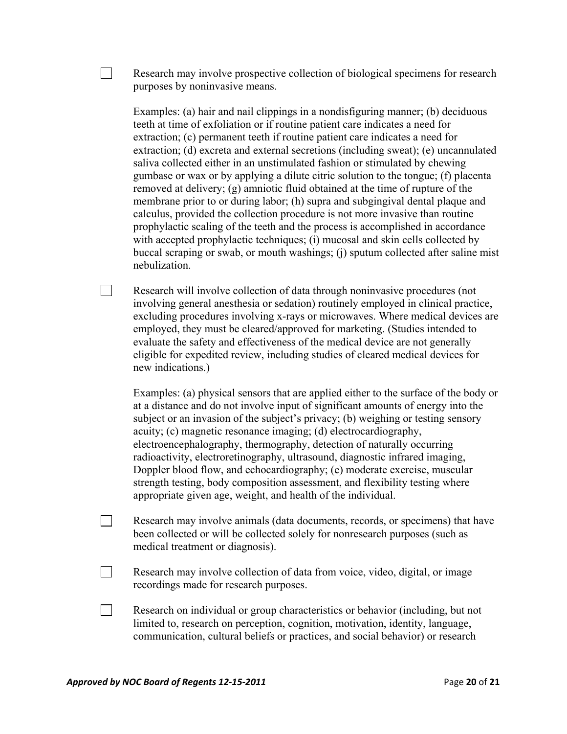Research may involve prospective collection of biological specimens for research purposes by noninvasive means.

Examples: (a) hair and nail clippings in a nondisfiguring manner; (b) deciduous teeth at time of exfoliation or if routine patient care indicates a need for extraction; (c) permanent teeth if routine patient care indicates a need for extraction; (d) excreta and external secretions (including sweat); (e) uncannulated saliva collected either in an unstimulated fashion or stimulated by chewing gumbase or wax or by applying a dilute citric solution to the tongue; (f) placenta removed at delivery; (g) amniotic fluid obtained at the time of rupture of the membrane prior to or during labor; (h) supra and subgingival dental plaque and calculus, provided the collection procedure is not more invasive than routine prophylactic scaling of the teeth and the process is accomplished in accordance with accepted prophylactic techniques; (i) mucosal and skin cells collected by buccal scraping or swab, or mouth washings; (j) sputum collected after saline mist nebulization.

 $\Box$  Research will involve collection of data through noninvasive procedures (not involving general anesthesia or sedation) routinely employed in clinical practice, excluding procedures involving x-rays or microwaves. Where medical devices are employed, they must be cleared/approved for marketing. (Studies intended to evaluate the safety and effectiveness of the medical device are not generally eligible for expedited review, including studies of cleared medical devices for new indications.)

Examples: (a) physical sensors that are applied either to the surface of the body or at a distance and do not involve input of significant amounts of energy into the subject or an invasion of the subject's privacy; (b) weighing or testing sensory acuity; (c) magnetic resonance imaging; (d) electrocardiography, electroencephalography, thermography, detection of naturally occurring radioactivity, electroretinography, ultrasound, diagnostic infrared imaging, Doppler blood flow, and echocardiography; (e) moderate exercise, muscular strength testing, body composition assessment, and flexibility testing where appropriate given age, weight, and health of the individual.

- Research may involve animals (data documents, records, or specimens) that have been collected or will be collected solely for nonresearch purposes (such as medical treatment or diagnosis).
- Research may involve collection of data from voice, video, digital, or image recordings made for research purposes.
- Research on individual or group characteristics or behavior (including, but not limited to, research on perception, cognition, motivation, identity, language, communication, cultural beliefs or practices, and social behavior) or research